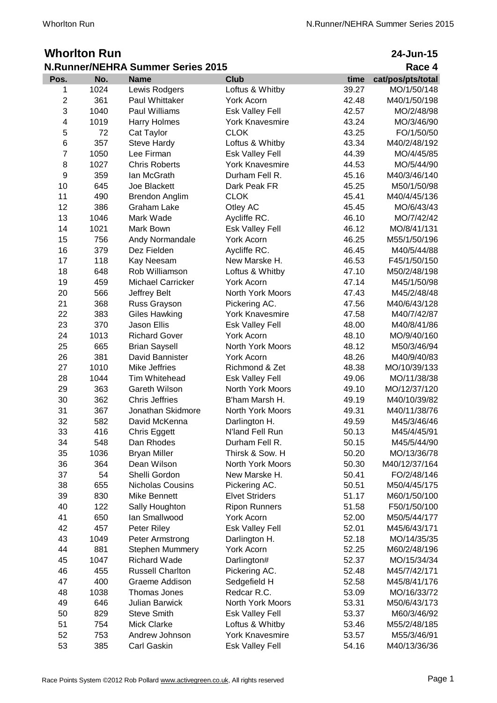## **Whorlton Run<br>N.Runner/NEHRA St**

| 24-Jun-15 |  |
|-----------|--|
|           |  |

| <b>N.Runner/NEHRA Summer Series 2015</b> |      |                          |                        |       | Race 4            |
|------------------------------------------|------|--------------------------|------------------------|-------|-------------------|
| Pos.                                     | No.  | <b>Name</b>              | <b>Club</b>            | time  | cat/pos/pts/total |
| 1                                        | 1024 | Lewis Rodgers            | Loftus & Whitby        | 39.27 | MO/1/50/148       |
| $\mathbf 2$                              | 361  | Paul Whittaker           | <b>York Acorn</b>      | 42.48 | M40/1/50/198      |
| 3                                        | 1040 | <b>Paul Williams</b>     | Esk Valley Fell        | 42.57 | MO/2/48/98        |
| $\overline{\mathbf{4}}$                  | 1019 | Harry Holmes             | <b>York Knavesmire</b> | 43.24 | MO/3/46/90        |
| 5                                        | 72   | Cat Taylor               | <b>CLOK</b>            | 43.25 | FO/1/50/50        |
| 6                                        | 357  | <b>Steve Hardy</b>       | Loftus & Whitby        | 43.34 | M40/2/48/192      |
| $\overline{7}$                           | 1050 | Lee Firman               | Esk Valley Fell        | 44.39 | MO/4/45/85        |
| 8                                        | 1027 | <b>Chris Roberts</b>     | <b>York Knavesmire</b> | 44.53 | MO/5/44/90        |
| $\boldsymbol{9}$                         | 359  | lan McGrath              | Durham Fell R.         | 45.16 | M40/3/46/140      |
| 10                                       | 645  | Joe Blackett             | Dark Peak FR           | 45.25 | M50/1/50/98       |
| 11                                       | 490  | Brendon Anglim           | <b>CLOK</b>            | 45.41 | M40/4/45/136      |
| 12                                       | 386  | <b>Graham Lake</b>       | Otley AC               | 45.45 | MO/6/43/43        |
| 13                                       | 1046 | Mark Wade                | Aycliffe RC.           | 46.10 | MO/7/42/42        |
| 14                                       | 1021 | Mark Bown                | Esk Valley Fell        | 46.12 | MO/8/41/131       |
| 15                                       | 756  | Andy Normandale          | York Acorn             | 46.25 | M55/1/50/196      |
| 16                                       | 379  | Dez Fielden              | Aycliffe RC.           | 46.45 | M40/5/44/88       |
| 17                                       | 118  | Kay Neesam               | New Marske H.          | 46.53 | F45/1/50/150      |
| 18                                       | 648  | Rob Williamson           | Loftus & Whitby        | 47.10 | M50/2/48/198      |
| 19                                       | 459  | <b>Michael Carricker</b> | York Acorn             | 47.14 | M45/1/50/98       |
| 20                                       | 566  | Jeffrey Belt             | North York Moors       | 47.43 | M45/2/48/48       |
| 21                                       | 368  | Russ Grayson             | Pickering AC.          | 47.56 | M40/6/43/128      |
| 22                                       | 383  | Giles Hawking            | <b>York Knavesmire</b> | 47.58 | M40/7/42/87       |
| 23                                       | 370  | Jason Ellis              | Esk Valley Fell        | 48.00 | M40/8/41/86       |
| 24                                       | 1013 | <b>Richard Gover</b>     | York Acorn             | 48.10 | MO/9/40/160       |
| 25                                       | 665  | <b>Brian Saysell</b>     | North York Moors       | 48.12 | M50/3/46/94       |
| 26                                       | 381  | David Bannister          | York Acorn             | 48.26 | M40/9/40/83       |
| 27                                       | 1010 | <b>Mike Jeffries</b>     | Richmond & Zet         | 48.38 | MO/10/39/133      |
| 28                                       | 1044 | Tim Whitehead            | Esk Valley Fell        | 49.06 | MO/11/38/38       |
| 29                                       | 363  | Gareth Wilson            | North York Moors       | 49.10 | MO/12/37/120      |
| 30                                       | 362  | <b>Chris Jeffries</b>    | B'ham Marsh H.         | 49.19 | M40/10/39/82      |
| 31                                       | 367  | Jonathan Skidmore        | North York Moors       | 49.31 | M40/11/38/76      |
| 32                                       | 582  | David McKenna            | Darlington H.          | 49.59 | M45/3/46/46       |
| 33                                       | 416  | Chris Eggett             | N'land Fell Run        | 50.13 | M45/4/45/91       |
| 34                                       | 548  | Dan Rhodes               | Durham Fell R.         | 50.15 | M45/5/44/90       |
| 35                                       | 1036 | <b>Bryan Miller</b>      | Thirsk & Sow. H        | 50.20 | MO/13/36/78       |
| 36                                       | 364  | Dean Wilson              | North York Moors       | 50.30 | M40/12/37/164     |
| 37                                       | 54   | Shelli Gordon            | New Marske H.          | 50.41 | FO/2/48/146       |
| 38                                       | 655  | <b>Nicholas Cousins</b>  | Pickering AC.          | 50.51 | M50/4/45/175      |
| 39                                       | 830  | Mike Bennett             | <b>Elvet Striders</b>  | 51.17 | M60/1/50/100      |
| 40                                       | 122  | Sally Houghton           | <b>Ripon Runners</b>   | 51.58 | F50/1/50/100      |
| 41                                       | 650  | lan Smallwood            | York Acorn             | 52.00 | M50/5/44/177      |
| 42                                       | 457  | Peter Riley              | Esk Valley Fell        | 52.01 | M45/6/43/171      |
| 43                                       | 1049 | Peter Armstrong          | Darlington H.          | 52.18 | MO/14/35/35       |
| 44                                       | 881  | <b>Stephen Mummery</b>   | York Acorn             | 52.25 | M60/2/48/196      |
| 45                                       | 1047 | <b>Richard Wade</b>      | Darlington#            | 52.37 | MO/15/34/34       |
| 46                                       | 455  | <b>Russell Charlton</b>  | Pickering AC.          | 52.48 | M45/7/42/171      |
| 47                                       | 400  | Graeme Addison           | Sedgefield H           | 52.58 | M45/8/41/176      |
| 48                                       | 1038 | Thomas Jones             | Redcar R.C.            | 53.09 | MO/16/33/72       |
| 49                                       | 646  | <b>Julian Barwick</b>    | North York Moors       | 53.31 | M50/6/43/173      |
| 50                                       | 829  | <b>Steve Smith</b>       | Esk Valley Fell        | 53.37 | M60/3/46/92       |
| 51                                       | 754  | <b>Mick Clarke</b>       | Loftus & Whitby        | 53.46 | M55/2/48/185      |
| 52                                       | 753  | Andrew Johnson           | <b>York Knavesmire</b> | 53.57 | M55/3/46/91       |
| 53                                       | 385  | Carl Gaskin              | Esk Valley Fell        | 54.16 | M40/13/36/36      |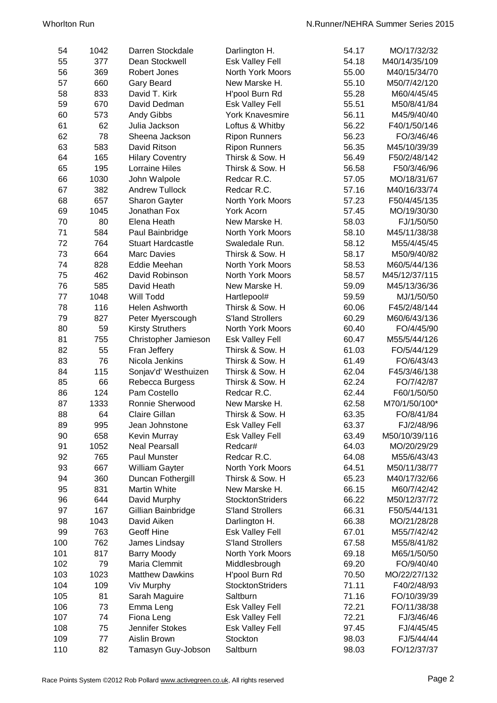| 54  | 1042 | Darren Stockdale              | Darlington H.           | 54.17 | MO/17/32/32                |
|-----|------|-------------------------------|-------------------------|-------|----------------------------|
| 55  | 377  | Dean Stockwell                | Esk Valley Fell         | 54.18 | M40/14/35/109              |
| 56  | 369  | Robert Jones                  | <b>North York Moors</b> | 55.00 | M40/15/34/70               |
| 57  | 660  | Gary Beard                    | New Marske H.           | 55.10 | M50/7/42/120               |
| 58  | 833  | David T. Kirk                 | H'pool Burn Rd          | 55.28 | M60/4/45/45                |
| 59  | 670  | David Dedman                  | Esk Valley Fell         | 55.51 | M50/8/41/84                |
| 60  | 573  | Andy Gibbs                    | <b>York Knavesmire</b>  | 56.11 | M45/9/40/40                |
| 61  | 62   | Julia Jackson                 | Loftus & Whitby         | 56.22 | F40/1/50/146               |
| 62  | 78   | Sheena Jackson                | <b>Ripon Runners</b>    | 56.23 | FO/3/46/46                 |
| 63  | 583  | David Ritson                  | <b>Ripon Runners</b>    | 56.35 | M45/10/39/39               |
| 64  | 165  | <b>Hilary Coventry</b>        | Thirsk & Sow. H         | 56.49 | F50/2/48/142               |
| 65  | 195  | <b>Lorraine Hiles</b>         | Thirsk & Sow. H         | 56.58 | F50/3/46/96                |
| 66  | 1030 | John Walpole                  | Redcar R.C.             | 57.05 | MO/18/31/67                |
| 67  | 382  | <b>Andrew Tullock</b>         | Redcar R.C.             | 57.16 | M40/16/33/74               |
| 68  | 657  |                               | North York Moors        | 57.23 | F50/4/45/135               |
| 69  | 1045 | Sharon Gayter<br>Jonathan Fox | <b>York Acorn</b>       | 57.45 | MO/19/30/30                |
| 70  | 80   | Elena Heath                   | New Marske H.           | 58.03 |                            |
| 71  | 584  | Paul Bainbridge               | North York Moors        | 58.10 | FJ/1/50/50<br>M45/11/38/38 |
|     | 764  | <b>Stuart Hardcastle</b>      |                         |       |                            |
| 72  |      |                               | Swaledale Run.          | 58.12 | M55/4/45/45                |
| 73  | 664  | <b>Marc Davies</b>            | Thirsk & Sow. H         | 58.17 | M50/9/40/82                |
| 74  | 828  | Eddie Meehan                  | North York Moors        | 58.53 | M60/5/44/136               |
| 75  | 462  | David Robinson                | North York Moors        | 58.57 | M45/12/37/115              |
| 76  | 585  | David Heath                   | New Marske H.           | 59.09 | M45/13/36/36               |
| 77  | 1048 | Will Todd                     | Hartlepool#             | 59.59 | MJ/1/50/50                 |
| 78  | 116  | Helen Ashworth                | Thirsk & Sow. H         | 60.06 | F45/2/48/144               |
| 79  | 827  | Peter Myerscough              | <b>S'land Strollers</b> | 60.29 | M60/6/43/136               |
| 80  | 59   | <b>Kirsty Struthers</b>       | North York Moors        | 60.40 | FO/4/45/90                 |
| 81  | 755  | Christopher Jamieson          | Esk Valley Fell         | 60.47 | M55/5/44/126               |
| 82  | 55   | Fran Jeffery                  | Thirsk & Sow. H         | 61.03 | FO/5/44/129                |
| 83  | 76   | Nicola Jenkins                | Thirsk & Sow. H         | 61.49 | FO/6/43/43                 |
| 84  | 115  | Sonjav'd' Westhuizen          | Thirsk & Sow. H         | 62.04 | F45/3/46/138               |
| 85  | 66   | Rebecca Burgess               | Thirsk & Sow. H         | 62.24 | FO/7/42/87                 |
| 86  | 124  | Pam Costello                  | Redcar R.C.             | 62.44 | F60/1/50/50                |
| 87  | 1333 | Ronnie Sherwood               | New Marske H.           | 62.58 | M70/1/50/100*              |
| 88  | 64   | <b>Claire Gillan</b>          | Thirsk & Sow. H         | 63.35 | FO/8/41/84                 |
| 89  | 995  | Jean Johnstone                | Esk Valley Fell         | 63.37 | FJ/2/48/96                 |
| 90  | 658  | <b>Kevin Murray</b>           | Esk Valley Fell         | 63.49 | M50/10/39/116              |
| 91  | 1052 | <b>Neal Pearsall</b>          | Redcar#                 | 64.03 | MO/20/29/29                |
| 92  | 765  | Paul Munster                  | Redcar R.C.             | 64.08 | M55/6/43/43                |
| 93  | 667  | William Gayter                | North York Moors        | 64.51 | M50/11/38/77               |
| 94  | 360  | Duncan Fothergill             | Thirsk & Sow. H         | 65.23 | M40/17/32/66               |
| 95  | 831  | Martin White                  | New Marske H.           | 66.15 | M60/7/42/42                |
| 96  | 644  | David Murphy                  | <b>StocktonStriders</b> | 66.22 | M50/12/37/72               |
| 97  | 167  | Gillian Bainbridge            | <b>S'land Strollers</b> | 66.31 | F50/5/44/131               |
| 98  | 1043 | David Aiken                   | Darlington H.           | 66.38 | MO/21/28/28                |
| 99  | 763  | <b>Geoff Hine</b>             | Esk Valley Fell         | 67.01 | M55/7/42/42                |
| 100 | 762  | James Lindsay                 | <b>S'land Strollers</b> | 67.58 | M55/8/41/82                |
| 101 | 817  | <b>Barry Moody</b>            | North York Moors        | 69.18 | M65/1/50/50                |
| 102 | 79   | Maria Clemmit                 | Middlesbrough           | 69.20 | FO/9/40/40                 |
| 103 | 1023 | <b>Matthew Dawkins</b>        | H'pool Burn Rd          | 70.50 | MO/22/27/132               |
| 104 | 109  | Viv Murphy                    | <b>StocktonStriders</b> | 71.11 | F40/2/48/93                |
| 105 | 81   | Sarah Maguire                 | Saltburn                | 71.16 | FO/10/39/39                |
| 106 | 73   | Emma Leng                     | <b>Esk Valley Fell</b>  | 72.21 | FO/11/38/38                |
| 107 | 74   | Fiona Leng                    | <b>Esk Valley Fell</b>  | 72.21 | FJ/3/46/46                 |
| 108 | 75   | Jennifer Stokes               | Esk Valley Fell         | 97.45 | FJ/4/45/45                 |
| 109 | 77   | Aislin Brown                  | Stockton                | 98.03 | FJ/5/44/44                 |
| 110 | 82   | Tamasyn Guy-Jobson            | Saltburn                | 98.03 | FO/12/37/37                |